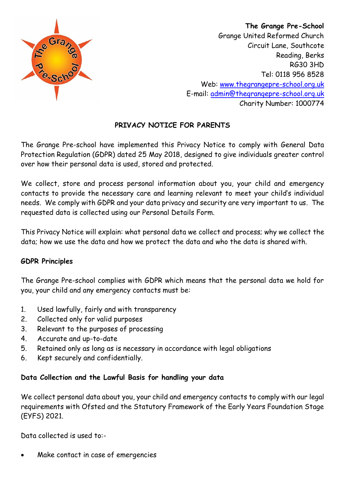

 **The Grange Pre-School** Grange United Reformed Church Circuit Lane, Southcote Reading, Berks RG30 3HD Tel: 0118 956 8528 Web: [www.thegrangepre-school.org.uk](http://www.thegrangepre-school.org.uk/) E-mail: [admin@thegrangepre-school.org.uk](mailto:admin@thegrangepre-school.org.uk) Charity Number: 1000774

# **PRIVACY NOTICE FOR PARENTS**

The Grange Pre-school have implemented this Privacy Notice to comply with General Data Protection Regulation (GDPR) dated 25 May 2018, designed to give individuals greater control over how their personal data is used, stored and protected.

We collect, store and process personal information about you, your child and emergency contacts to provide the necessary care and learning relevant to meet your child's individual needs. We comply with GDPR and your data privacy and security are very important to us. The requested data is collected using our Personal Details Form.

This Privacy Notice will explain: what personal data we collect and process; why we collect the data; how we use the data and how we protect the data and who the data is shared with.

## **GDPR Principles**

The Grange Pre-school complies with GDPR which means that the personal data we hold for you, your child and any emergency contacts must be:

- 1. Used lawfully, fairly and with transparency
- 2. Collected only for valid purposes
- 3. Relevant to the purposes of processing
- 4. Accurate and up-to-date
- 5. Retained only as long as is necessary in accordance with legal obligations
- 6. Kept securely and confidentially.

## **Data Collection and the Lawful Basis for handling your data**

We collect personal data about you, your child and emergency contacts to comply with our legal requirements with Ofsted and the Statutory Framework of the Early Years Foundation Stage (EYFS) 2021.

Data collected is used to:-

• Make contact in case of emergencies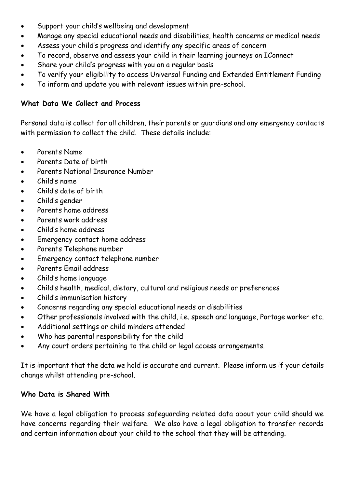- Support your child's wellbeing and development
- Manage any special educational needs and disabilities, health concerns or medical needs
- Assess your child's progress and identify any specific areas of concern
- To record, observe and assess your child in their learning journeys on IConnect
- Share your child's progress with you on a regular basis
- To verify your eligibility to access Universal Funding and Extended Entitlement Funding
- To inform and update you with relevant issues within pre-school.

## **What Data We Collect and Process**

Personal data is collect for all children, their parents or guardians and any emergency contacts with permission to collect the child. These details include:

- Parents Name
- Parents Date of birth
- Parents National Insurance Number
- Child's name
- Child's date of birth
- Child's gender
- Parents home address
- Parents work address
- Child's home address
- Emergency contact home address
- Parents Telephone number
- Emergency contact telephone number
- Parents Email address
- Child's home language
- Child's health, medical, dietary, cultural and religious needs or preferences
- Child's immunisation history
- Concerns regarding any special educational needs or disabilities
- Other professionals involved with the child, i.e. speech and language, Portage worker etc.
- Additional settings or child minders attended
- Who has parental responsibility for the child
- Any court orders pertaining to the child or legal access arrangements.

It is important that the data we hold is accurate and current. Please inform us if your details change whilst attending pre-school.

## **Who Data is Shared With**

We have a legal obligation to process safeguarding related data about your child should we have concerns regarding their welfare. We also have a legal obligation to transfer records and certain information about your child to the school that they will be attending.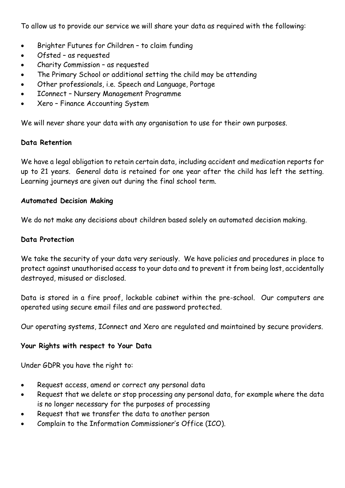To allow us to provide our service we will share your data as required with the following:

- Brighter Futures for Children to claim funding
- Ofsted as requested
- Charity Commission as requested
- The Primary School or additional setting the child may be attending
- Other professionals, i.e. Speech and Language, Portage
- IConnect Nursery Management Programme
- Xero Finance Accounting System

We will never share your data with any organisation to use for their own purposes.

## **Data Retention**

We have a legal obligation to retain certain data, including accident and medication reports for up to 21 years. General data is retained for one year after the child has left the setting. Learning journeys are given out during the final school term.

#### **Automated Decision Making**

We do not make any decisions about children based solely on automated decision making.

#### **Data Protection**

We take the security of your data very seriously. We have policies and procedures in place to protect against unauthorised access to your data and to prevent it from being lost, accidentally destroyed, misused or disclosed.

Data is stored in a fire proof, lockable cabinet within the pre-school. Our computers are operated using secure email files and are password protected.

Our operating systems, IConnect and Xero are regulated and maintained by secure providers.

## **Your Rights with respect to Your Data**

Under GDPR you have the right to:

- Request access, amend or correct any personal data
- Request that we delete or stop processing any personal data, for example where the data is no longer necessary for the purposes of processing
- Request that we transfer the data to another person
- Complain to the Information Commissioner's Office (ICO).